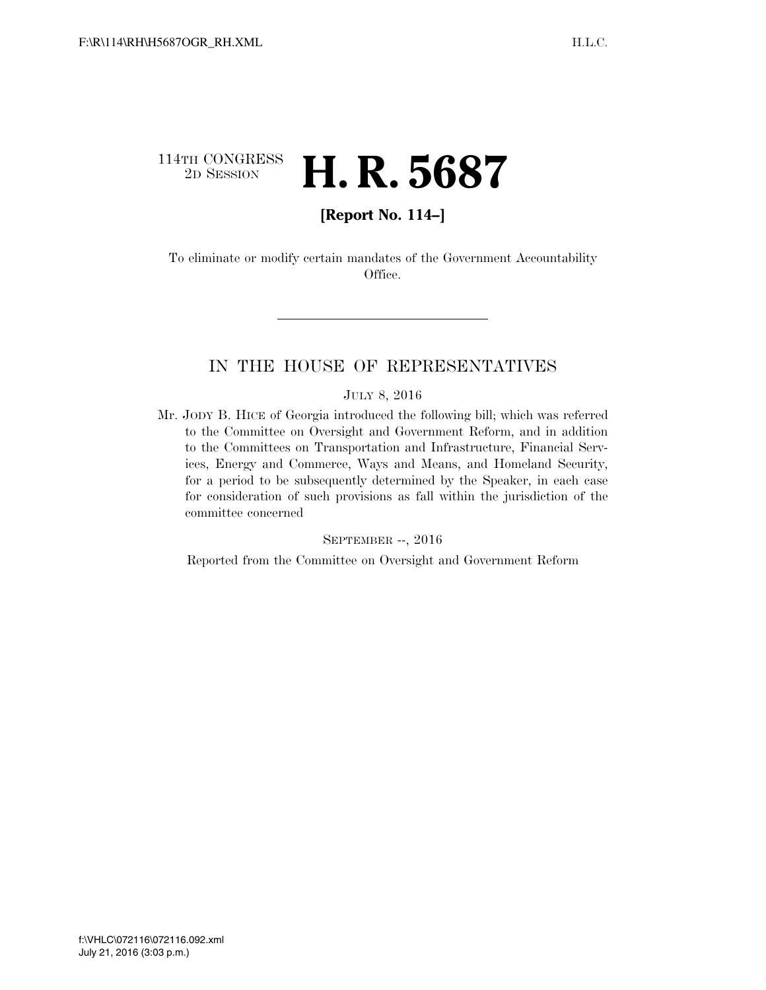## 114TH CONGRESS<br>2D SESSION 2D SESSION **H. R. 5687**

## **[Report No. 114–]**

To eliminate or modify certain mandates of the Government Accountability Office.

## IN THE HOUSE OF REPRESENTATIVES

#### JULY 8, 2016

Mr. JODY B. HICE of Georgia introduced the following bill; which was referred to the Committee on Oversight and Government Reform, and in addition to the Committees on Transportation and Infrastructure, Financial Services, Energy and Commerce, Ways and Means, and Homeland Security, for a period to be subsequently determined by the Speaker, in each case for consideration of such provisions as fall within the jurisdiction of the committee concerned

#### SEPTEMBER --, 2016

Reported from the Committee on Oversight and Government Reform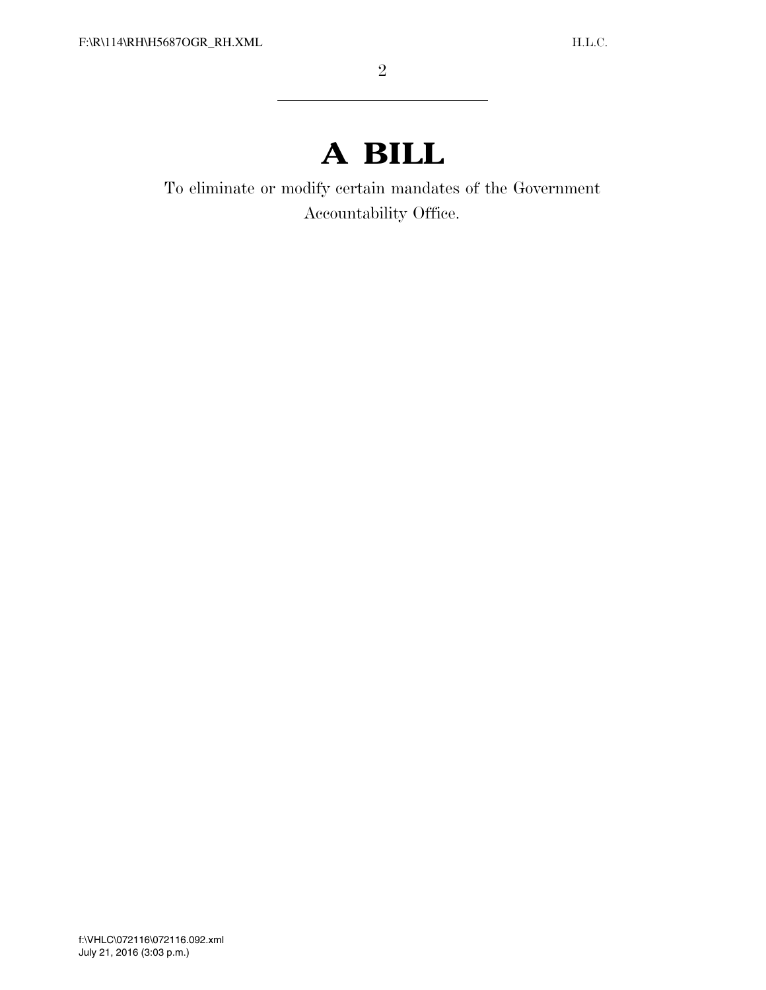# **A BILL**

To eliminate or modify certain mandates of the Government Accountability Office.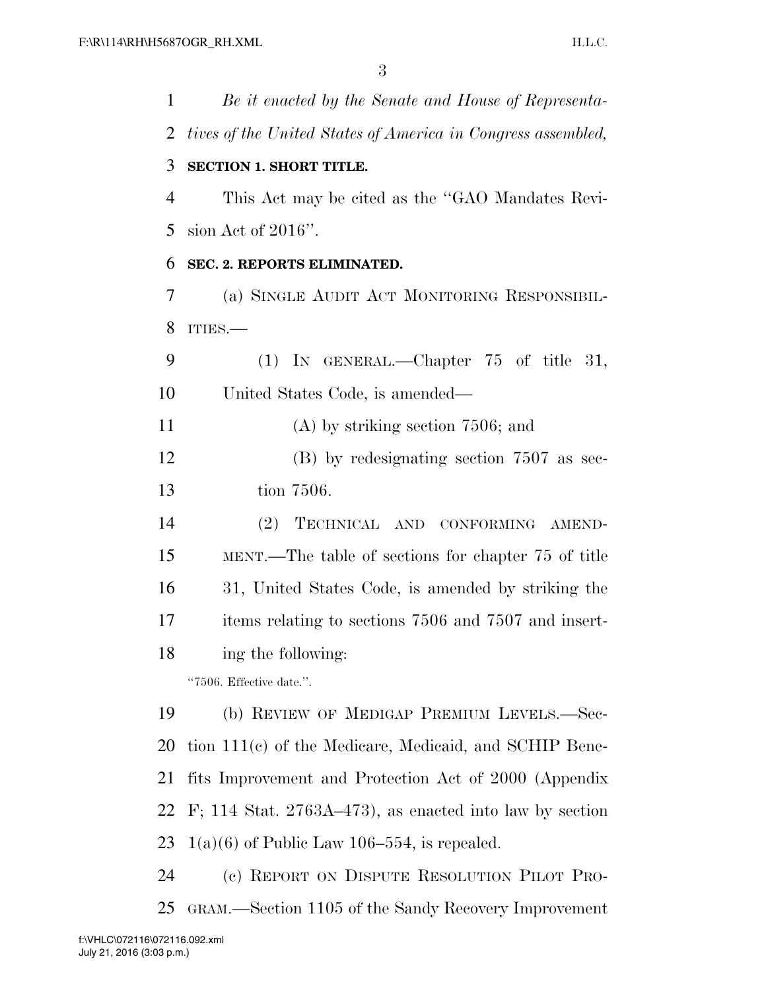| 1              | Be it enacted by the Senate and House of Representa-         |
|----------------|--------------------------------------------------------------|
| 2              | tives of the United States of America in Congress assembled, |
| 3              | <b>SECTION 1. SHORT TITLE.</b>                               |
| $\overline{4}$ | This Act may be cited as the "GAO Mandates Revi-             |
| 5              | sion Act of $2016$ ".                                        |
| 6              | SEC. 2. REPORTS ELIMINATED.                                  |
| 7              | (a) SINGLE AUDIT ACT MONITORING RESPONSIBIL-                 |
| 8              | ITIES.                                                       |
| 9              | $(1)$ In GENERAL.—Chapter 75 of title<br>31,                 |
| 10             | United States Code, is amended—                              |
| 11             | $(A)$ by striking section 7506; and                          |
| 12             | $(B)$ by redesignating section 7507 as sec-                  |
| 13             | tion 7506.                                                   |
| 14             | TECHNICAL AND CONFORMING AMEND-<br>(2)                       |
| 15             | MENT.—The table of sections for chapter 75 of title          |
| 16             | 31, United States Code, is amended by striking the           |
| 17             | items relating to sections 7506 and 7507 and insert-         |
| 18             | ing the following:                                           |
|                | "7506. Effective date.".                                     |
| 19             | (b) REVIEW OF MEDIGAP PREMIUM LEVELS.—Sec-                   |
| 20             | tion 111(c) of the Medicare, Medicaid, and SCHIP Bene-       |
| 21             | fits Improvement and Protection Act of 2000 (Appendix        |
| 22             | F; 114 Stat. $2763A-473$ ), as enacted into law by section   |
| 23             | $1(a)(6)$ of Public Law 106–554, is repealed.                |
| 24             | (c) REPORT ON DISPUTE RESOLUTION PILOT PRO-                  |
| 25             | GRAM.—Section 1105 of the Sandy Recovery Improvement         |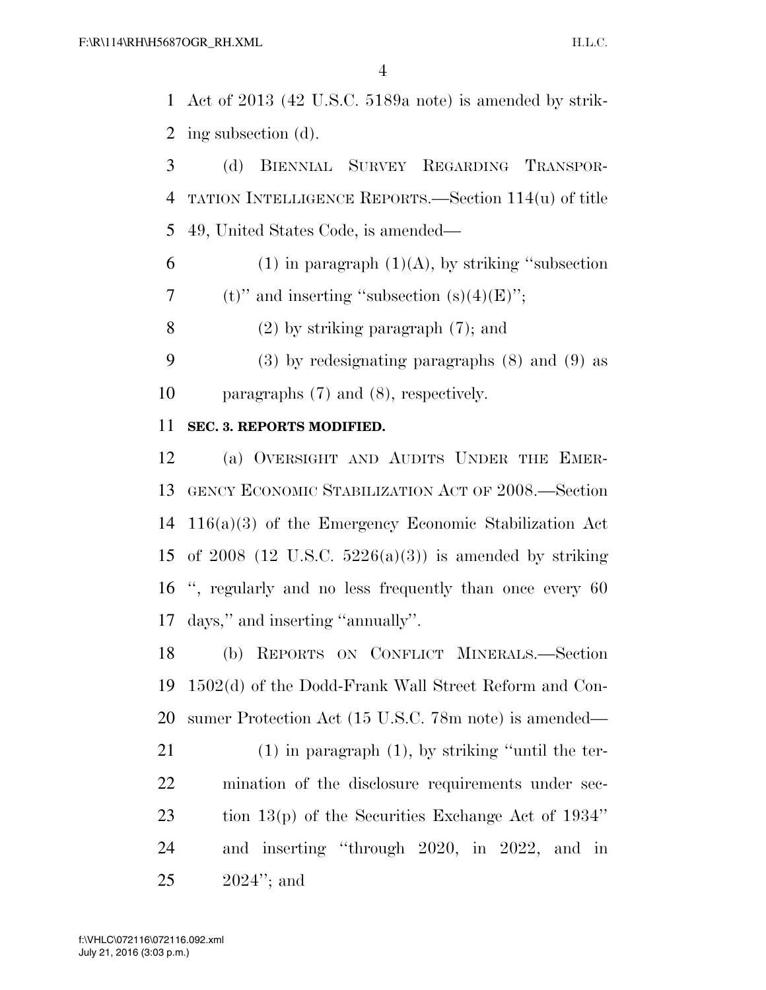Act of 2013 (42 U.S.C. 5189a note) is amended by strik-ing subsection (d).

 (d) BIENNIAL SURVEY REGARDING TRANSPOR- TATION INTELLIGENCE REPORTS.—Section 114(u) of title 49, United States Code, is amended—

6 (1) in paragraph  $(1)(A)$ , by striking "subsection 7 (t)" and inserting "subsection  $(s)(4)(E)$ ";

(2) by striking paragraph (7); and

 (3) by redesignating paragraphs (8) and (9) as paragraphs (7) and (8), respectively.

### **SEC. 3. REPORTS MODIFIED.**

 (a) OVERSIGHT AND AUDITS UNDER THE EMER- GENCY ECONOMIC STABILIZATION ACT OF 2008.—Section 116(a)(3) of the Emergency Economic Stabilization Act 15 of 2008 (12 U.S.C.  $5226(a)(3)$ ) is amended by striking '', regularly and no less frequently than once every 60 days,'' and inserting ''annually''.

 (b) REPORTS ON CONFLICT MINERALS.—Section 1502(d) of the Dodd-Frank Wall Street Reform and Con-sumer Protection Act (15 U.S.C. 78m note) is amended—

 (1) in paragraph (1), by striking ''until the ter- mination of the disclosure requirements under sec- tion 13(p) of the Securities Exchange Act of 1934'' and inserting ''through 2020, in 2022, and in 2024''; and